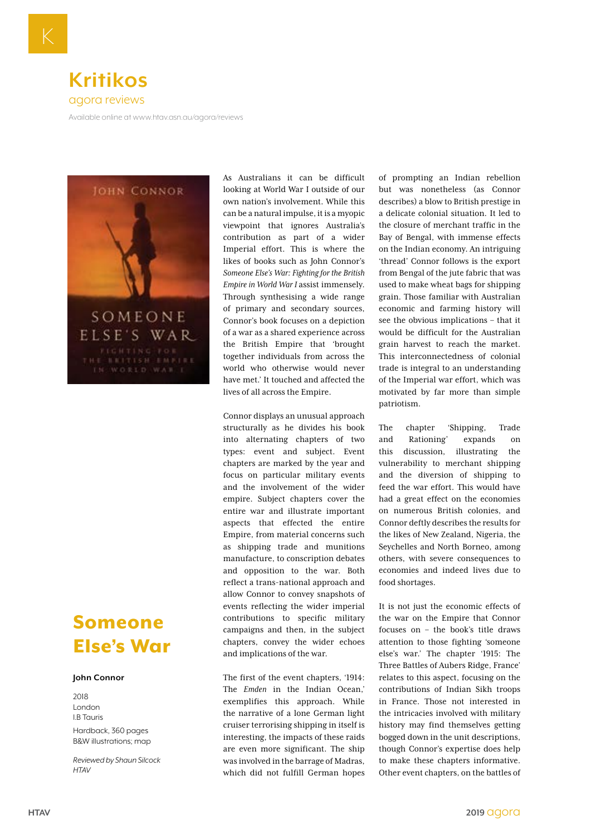## **Kritikos** agora reviews

Available online at www.htav.asn.au/agora/reviews



## Someone Else's War

## **John Connor**

2018 London I.B Tauris Hardback, 360 pages B&W illustrations; map

*Reviewed by Shaun Silcock HTAV*

As Australians it can be difficult looking at World War I outside of our own nation's involvement. While this can be a natural impulse, it is a myopic viewpoint that ignores Australia's contribution as part of a wider Imperial effort. This is where the likes of books such as John Connor's *Someone Else's War: Fighting for the British Empire in World War I* assist immensely. Through synthesising a wide range of primary and secondary sources, Connor's book focuses on a depiction of a war as a shared experience across the British Empire that 'brought together individuals from across the world who otherwise would never have met.' It touched and affected the lives of all across the Empire.

Connor displays an unusual approach structurally as he divides his book into alternating chapters of two types: event and subject. Event chapters are marked by the year and focus on particular military events and the involvement of the wider empire. Subject chapters cover the entire war and illustrate important aspects that effected the entire Empire, from material concerns such as shipping trade and munitions manufacture, to conscription debates and opposition to the war. Both reflect a trans-national approach and allow Connor to convey snapshots of events reflecting the wider imperial contributions to specific military campaigns and then, in the subject chapters, convey the wider echoes and implications of the war.

The first of the event chapters, '1914: The *Emden* in the Indian Ocean,' exemplifies this approach. While the narrative of a lone German light cruiser terrorising shipping in itself is interesting, the impacts of these raids are even more significant. The ship was involved in the barrage of Madras, which did not fulfill German hopes

of prompting an Indian rebellion but was nonetheless (as Connor describes) a blow to British prestige in a delicate colonial situation. It led to the closure of merchant traffic in the Bay of Bengal, with immense effects on the Indian economy. An intriguing 'thread' Connor follows is the export from Bengal of the jute fabric that was used to make wheat bags for shipping grain. Those familiar with Australian economic and farming history will see the obvious implications – that it would be difficult for the Australian grain harvest to reach the market. This interconnectedness of colonial trade is integral to an understanding of the Imperial war effort, which was motivated by far more than simple patriotism.

The chapter 'Shipping, Trade and Rationing' expands on this discussion, illustrating the vulnerability to merchant shipping and the diversion of shipping to feed the war effort. This would have had a great effect on the economies on numerous British colonies, and Connor deftly describes the results for the likes of New Zealand, Nigeria, the Seychelles and North Borneo, among others, with severe consequences to economies and indeed lives due to food shortages.

It is not just the economic effects of the war on the Empire that Connor focuses on – the book's title draws attention to those fighting 'someone else's war.' The chapter '1915: The Three Battles of Aubers Ridge, France' relates to this aspect, focusing on the contributions of Indian Sikh troops in France. Those not interested in the intricacies involved with military history may find themselves getting bogged down in the unit descriptions, though Connor's expertise does help to make these chapters informative. Other event chapters, on the battles of